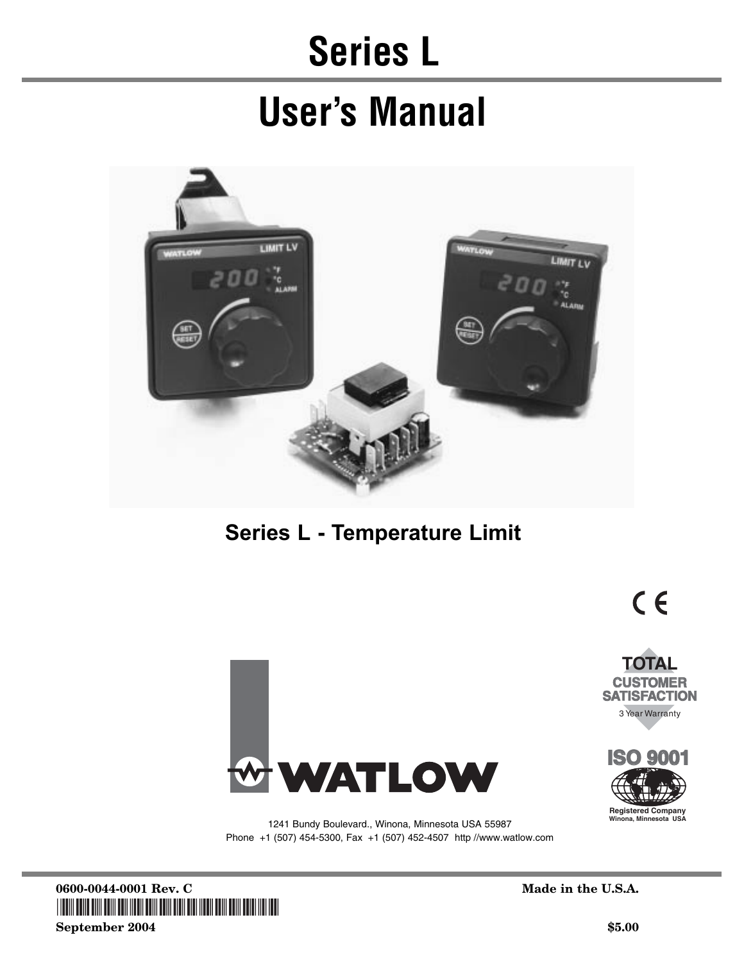## **Series L**

## **User's Manual**



## **Series L - Temperature Limit**





 $C \in$ 



1241 Bundy Boulevard., Winona, Minnesota USA 55987 Phone +1 (507) 454-5300, Fax +1 (507) 452-4507 http://www.watlow.com

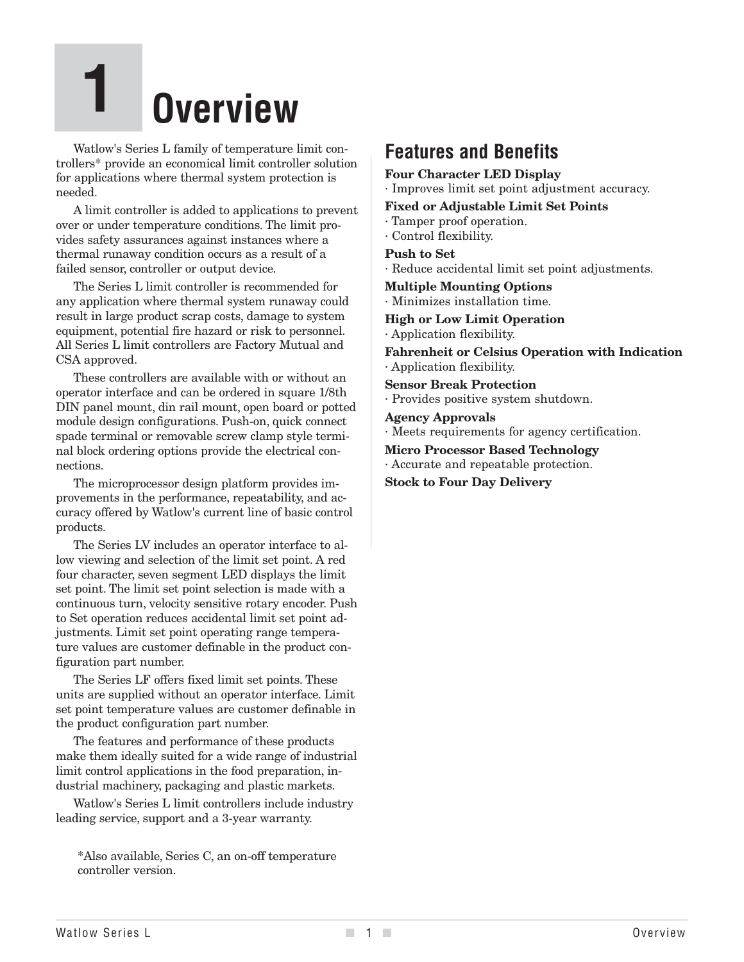# **1 Overview**

Watlow's Series L family of temperature limit controllers\* provide an economical limit controller solution for applications where thermal system protection is needed.

A limit controller is added to applications to prevent over or under temperature conditions. The limit provides safety assurances against instances where a thermal runaway condition occurs as a result of a failed sensor, controller or output device.

The Series L limit controller is recommended for any application where thermal system runaway could result in large product scrap costs, damage to system equipment, potential fire hazard or risk to personnel. All Series L limit controllers are Factory Mutual and CSA approved.

These controllers are available with or without an operator interface and can be ordered in square 1/8th DIN panel mount, din rail mount, open board or potted module design configurations. Push-on, quick connect spade terminal or removable screw clamp style terminal block ordering options provide the electrical connections.

The microprocessor design platform provides improvements in the performance, repeatability, and accuracy offered by Watlow's current line of basic control products.

The Series LV includes an operator interface to allow viewing and selection of the limit set point. A red four character, seven segment LED displays the limit set point. The limit set point selection is made with a continuous turn, velocity sensitive rotary encoder. Push to Set operation reduces accidental limit set point adjustments. Limit set point operating range temperature values are customer definable in the product configuration part number.

The Series LF offers fixed limit set points. These units are supplied without an operator interface. Limit set point temperature values are customer definable in the product configuration part number.

The features and performance of these products make them ideally suited for a wide range of industrial limit control applications in the food preparation, industrial machinery, packaging and plastic markets.

Watlow's Series L limit controllers include industry leading service, support and a 3-year warranty.

\*Also available, Series C, an on-off temperature controller version.

### **Features and Benefits**

#### **Four Character LED Display**

· Improves limit set point adjustment accuracy.

#### **Fixed or Adjustable Limit Set Points**

- · Tamper proof operation.
- · Control flexibility.

#### **Push to Set**

· Reduce accidental limit set point adjustments.

**Multiple Mounting Options**

· Minimizes installation time.

**High or Low Limit Operation**

· Application flexibility.

**Fahrenheit or Celsius Operation with Indication** · Application flexibility.

**Sensor Break Protection** · Provides positive system shutdown.

#### **Agency Approvals**

· Meets requirements for agency certification.

**Micro Processor Based Technology** · Accurate and repeatable protection.

**Stock to Four Day Delivery**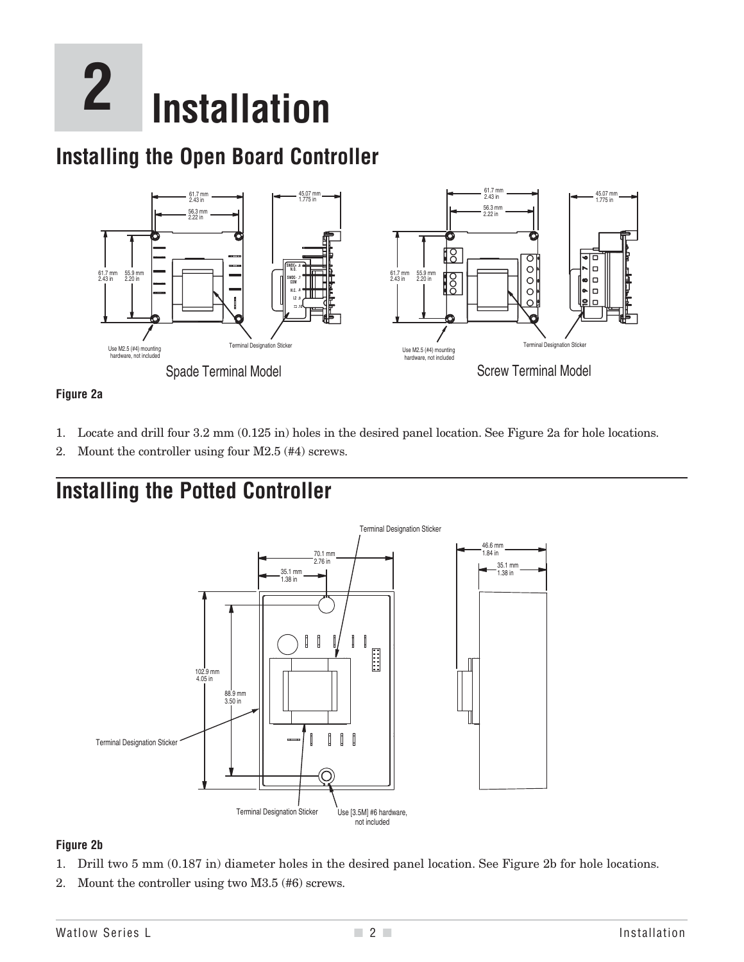# **2 Installation**

## **Installing the Open Board Controller**



#### **Figure 2a**

- 1. Locate and drill four 3.2 mm (0.125 in) holes in the desired panel location. See Figure 2a for hole locations.
- 2. Mount the controller using four M2.5 (#4) screws.

## **Installing the Potted Controller**



#### **Figure 2b**

- 1. Drill two 5 mm (0.187 in) diameter holes in the desired panel location. See Figure 2b for hole locations.
- 2. Mount the controller using two M3.5 (#6) screws.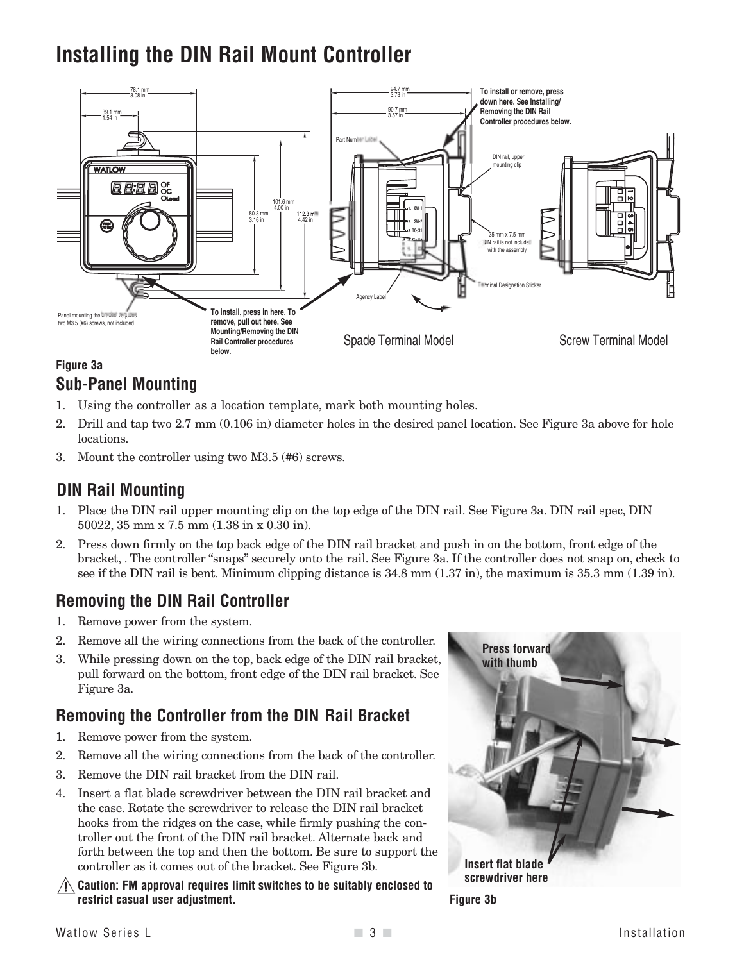## **Installing the DIN Rail Mount Controller**



#### **Figure 3a Sub-Panel Mounting**

- 1. Using the controller as a location template, mark both mounting holes.
- 2. Drill and tap two 2.7 mm (0.106 in) diameter holes in the desired panel location. See Figure 3a above for hole locations.
- 3. Mount the controller using two M3.5 (#6) screws.

#### **DIN Rail Mounting**

- 1. Place the DIN rail upper mounting clip on the top edge of the DIN rail. See Figure 3a. DIN rail spec, DIN 50022, 35 mm x 7.5 mm (1.38 in x 0.30 in).
- 2. Press down firmly on the top back edge of the DIN rail bracket and push in on the bottom, front edge of the bracket, . The controller "snaps" securely onto the rail. See Figure 3a. If the controller does not snap on, check to see if the DIN rail is bent. Minimum clipping distance is 34.8 mm (1.37 in), the maximum is 35.3 mm (1.39 in).

#### **Removing the DIN Rail Controller**

- 1. Remove power from the system.
- 2. Remove all the wiring connections from the back of the controller.
- 3. While pressing down on the top, back edge of the DIN rail bracket, pull forward on the bottom, front edge of the DIN rail bracket. See Figure 3a.

#### **Removing the Controller from the DIN Rail Bracket**

- 1. Remove power from the system.
- 2. Remove all the wiring connections from the back of the controller.
- 3. Remove the DIN rail bracket from the DIN rail.
- 4. Insert a flat blade screwdriver between the DIN rail bracket and the case. Rotate the screwdriver to release the DIN rail bracket hooks from the ridges on the case, while firmly pushing the controller out the front of the DIN rail bracket. Alternate back and forth between the top and then the bottom. Be sure to support the controller as it comes out of the bracket. See Figure 3b.
- ç**Caution: FM approval requires limit switches to be suitably enclosed to restrict casual user adjustment. Figure 3b**

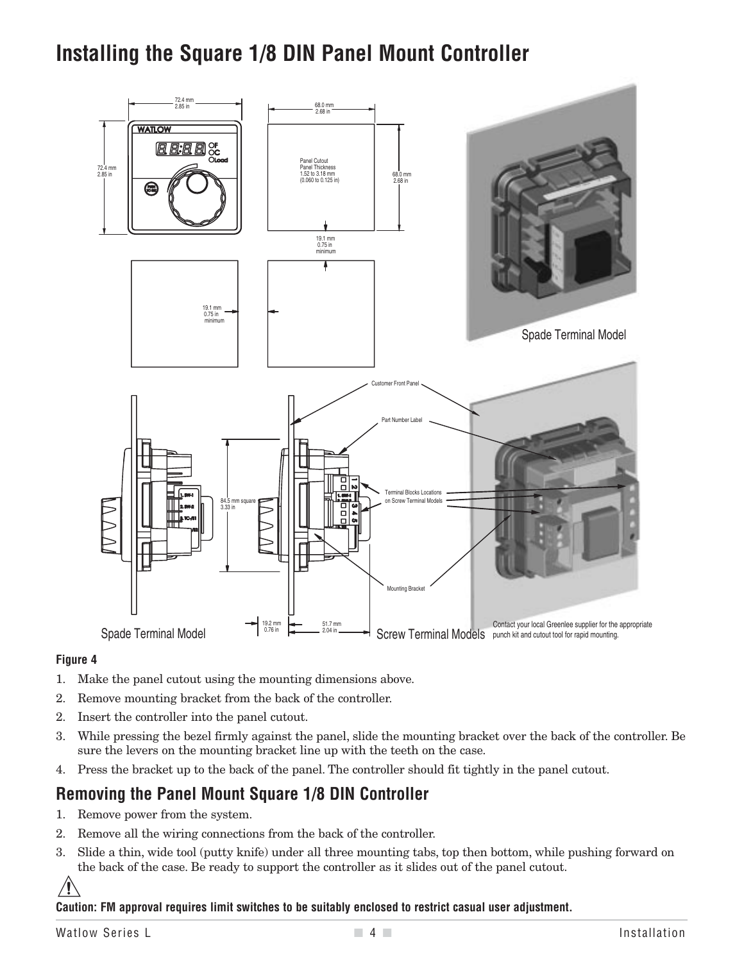## **Installing the Square 1/8 DIN Panel Mount Controller**



#### **Figure 4**

- 1. Make the panel cutout using the mounting dimensions above.
- 2. Remove mounting bracket from the back of the controller.
- 2. Insert the controller into the panel cutout.
- 3. While pressing the bezel firmly against the panel, slide the mounting bracket over the back of the controller. Be sure the levers on the mounting bracket line up with the teeth on the case.
- 4. Press the bracket up to the back of the panel. The controller should fit tightly in the panel cutout.

#### **Removing the Panel Mount Square 1/8 DIN Controller**

- 1. Remove power from the system.
- 2. Remove all the wiring connections from the back of the controller.
- 3. Slide a thin, wide tool (putty knife) under all three mounting tabs, top then bottom, while pushing forward on the back of the case. Be ready to support the controller as it slides out of the panel cutout.



**Caution: FM approval requires limit switches to be suitably enclosed to restrict casual user adjustment.**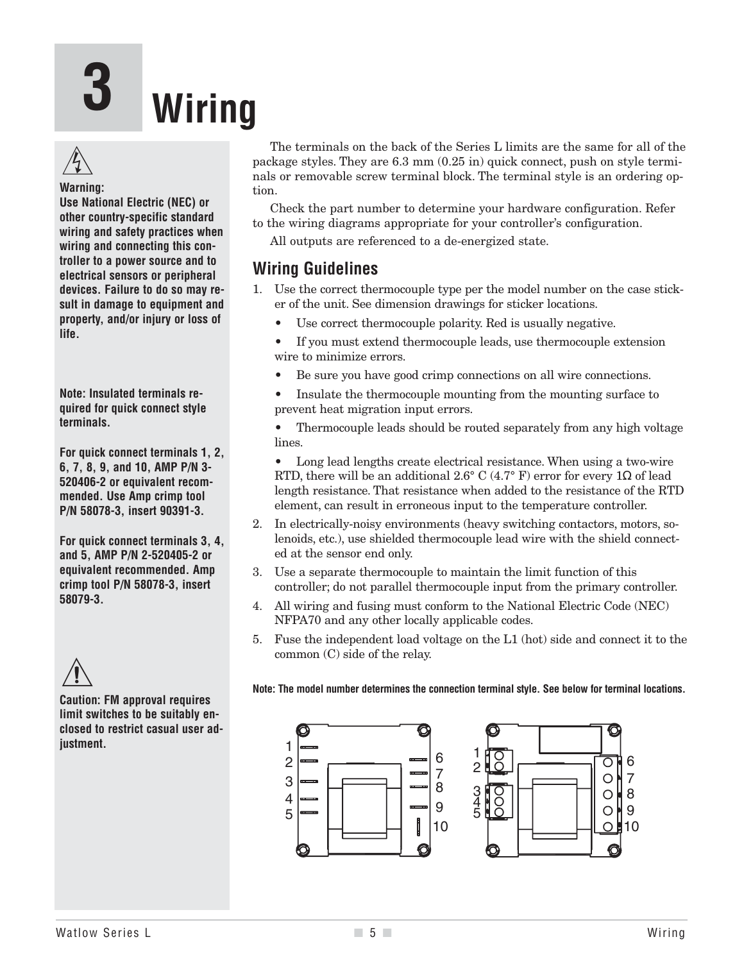# **3 Wiring**



#### **Warning:**

**Use National Electric (NEC) or other country-specific standard wiring and safety practices when wiring and connecting this controller to a power source and to electrical sensors or peripheral devices. Failure to do so may result in damage to equipment and property, and/or injury or loss of life.**

**Note: Insulated terminals required for quick connect style terminals.**

**For quick connect terminals 1, 2, 6, 7, 8, 9, and 10, AMP P/N 3- 520406-2 or equivalent recommended. Use Amp crimp tool P/N 58078-3, insert 90391-3.** 

**For quick connect terminals 3, 4, and 5, AMP P/N 2-520405-2 or equivalent recommended. Amp crimp tool P/N 58078-3, insert 58079-3.**

## $\mathbb{A}$

**Caution: FM approval requires limit switches to be suitably enclosed to restrict casual user adjustment.**

The terminals on the back of the Series L limits are the same for all of the package styles. They are 6.3 mm (0.25 in) quick connect, push on style terminals or removable screw terminal block. The terminal style is an ordering option.

Check the part number to determine your hardware configuration. Refer to the wiring diagrams appropriate for your controller's configuration.

All outputs are referenced to a de-energized state.

#### **Wiring Guidelines**

- 1. Use the correct thermocouple type per the model number on the case sticker of the unit. See dimension drawings for sticker locations.
	- Use correct thermocouple polarity. Red is usually negative.

• If you must extend thermocouple leads, use thermocouple extension wire to minimize errors.

• Be sure you have good crimp connections on all wire connections.

• Insulate the thermocouple mounting from the mounting surface to prevent heat migration input errors.

• Thermocouple leads should be routed separately from any high voltage lines.

• Long lead lengths create electrical resistance. When using a two-wire RTD, there will be an additional 2.6° C (4.7° F) error for every 1 $\Omega$  of lead length resistance. That resistance when added to the resistance of the RTD element, can result in erroneous input to the temperature controller.

- 2. In electrically-noisy environments (heavy switching contactors, motors, solenoids, etc.), use shielded thermocouple lead wire with the shield connected at the sensor end only.
- 3. Use a separate thermocouple to maintain the limit function of this controller; do not parallel thermocouple input from the primary controller.
- 4. All wiring and fusing must conform to the National Electric Code (NEC) NFPA70 and any other locally applicable codes.
- 5. Fuse the independent load voltage on the L1 (hot) side and connect it to the common (C) side of the relay.

**Note: The model number determines the connection terminal style. See below for terminal locations.**

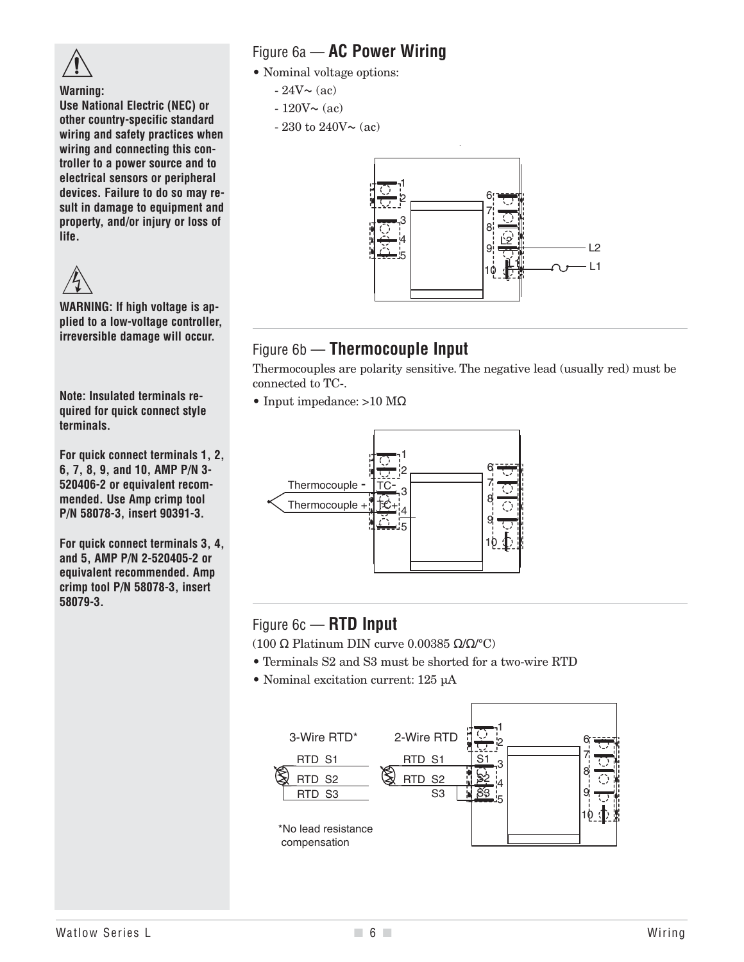

**Warning:**

**Use National Electric (NEC) or other country-specific standard wiring and safety practices when wiring and connecting this controller to a power source and to electrical sensors or peripheral devices. Failure to do so may result in damage to equipment and property, and/or injury or loss of life.**



**WARNING: If high voltage is applied to a low-voltage controller, irreversible damage will occur.**

**Note: Insulated terminals required for quick connect style terminals.**

**For quick connect terminals 1, 2, 6, 7, 8, 9, and 10, AMP P/N 3- 520406-2 or equivalent recommended. Use Amp crimp tool P/N 58078-3, insert 90391-3.** 

**For quick connect terminals 3, 4, and 5, AMP P/N 2-520405-2 or equivalent recommended. Amp crimp tool P/N 58078-3, insert 58079-3.**

#### Figure 6a — **AC Power Wiring**

- Nominal voltage options:
	- $-24V \sim (ac)$
	- $-120V \sim (ac)$
	- 230 to 240V $\sim$  (ac)



#### Figure 6b — **Thermocouple Input**

Thermocouples are polarity sensitive. The negative lead (usually red) must be connected to TC-.

• Input impedance: >10 MΩ



#### Figure 6c — **RTD Input**

(100 Ω Platinum DIN curve 0.00385 Ω/Ω/°C)

- Terminals S2 and S3 must be shorted for a two-wire RTD
- Nominal excitation current: 125 µA

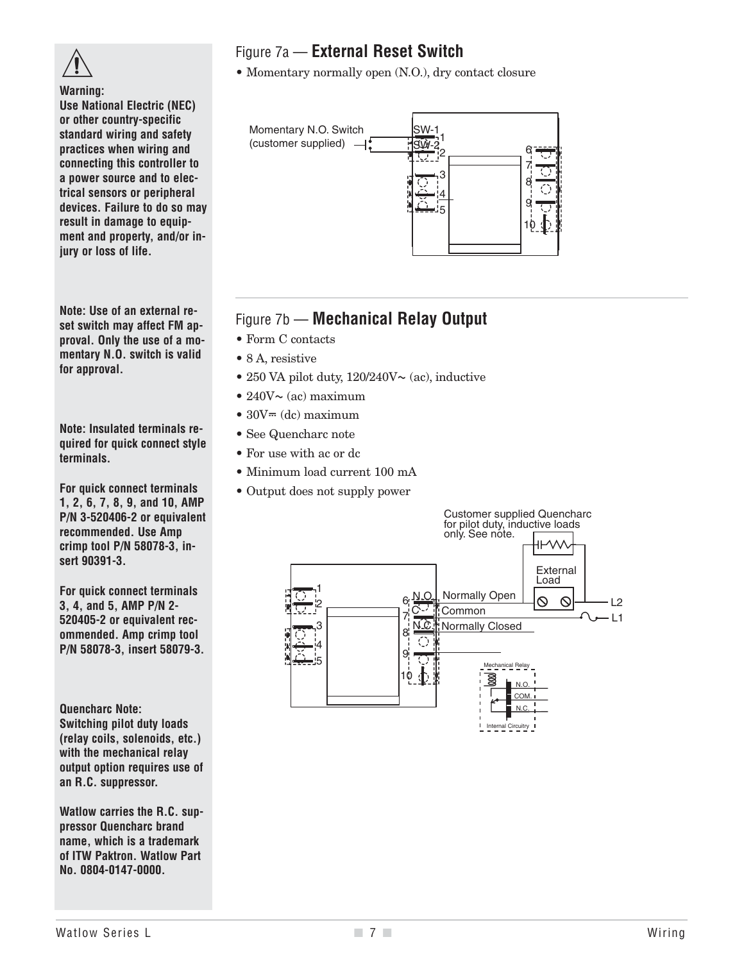

**Warning:**

**Use National Electric (NEC) or other country-specific standard wiring and safety practices when wiring and connecting this controller to a power source and to electrical sensors or peripheral devices. Failure to do so may result in damage to equipment and property, and/or injury or loss of life.**

**Note: Use of an external reset switch may affect FM approval. Only the use of a momentary N.O. switch is valid for approval.**

**Note: Insulated terminals required for quick connect style terminals.**

**For quick connect terminals 1, 2, 6, 7, 8, 9, and 10, AMP P/N 3-520406-2 or equivalent recommended. Use Amp crimp tool P/N 58078-3, insert 90391-3.** 

**For quick connect terminals 3, 4, and 5, AMP P/N 2- 520405-2 or equivalent recommended. Amp crimp tool P/N 58078-3, insert 58079-3.**

**Quencharc Note: Switching pilot duty loads (relay coils, solenoids, etc.) with the mechanical relay output option requires use of an R.C. suppressor.**

**Watlow carries the R.C. suppressor Quencharc brand name, which is a trademark of ITW Paktron. Watlow Part No. 0804-0147-0000.**

### Figure 7a — **External Reset Switch**

• Momentary normally open (N.O.), dry contact closure



#### Figure 7b — **Mechanical Relay Output**

- Form C contacts
- 8 A, resistive
- 250 VA pilot duty,  $120/240V \sim (ac)$ , inductive
- $240V \sim (ac)$  maximum
- $30V = (dc)$  maximum
- See Quencharc note
- For use with ac or dc
- Minimum load current 100 mA
- Output does not supply power

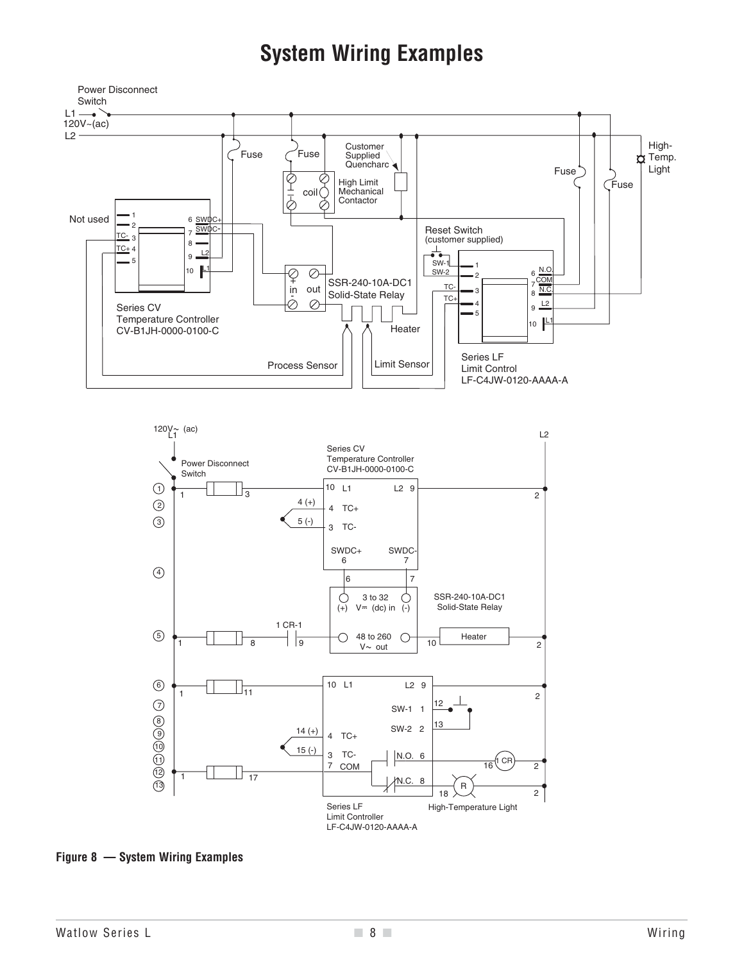## **System Wiring Examples**





**Figure 8 — System Wiring Examples**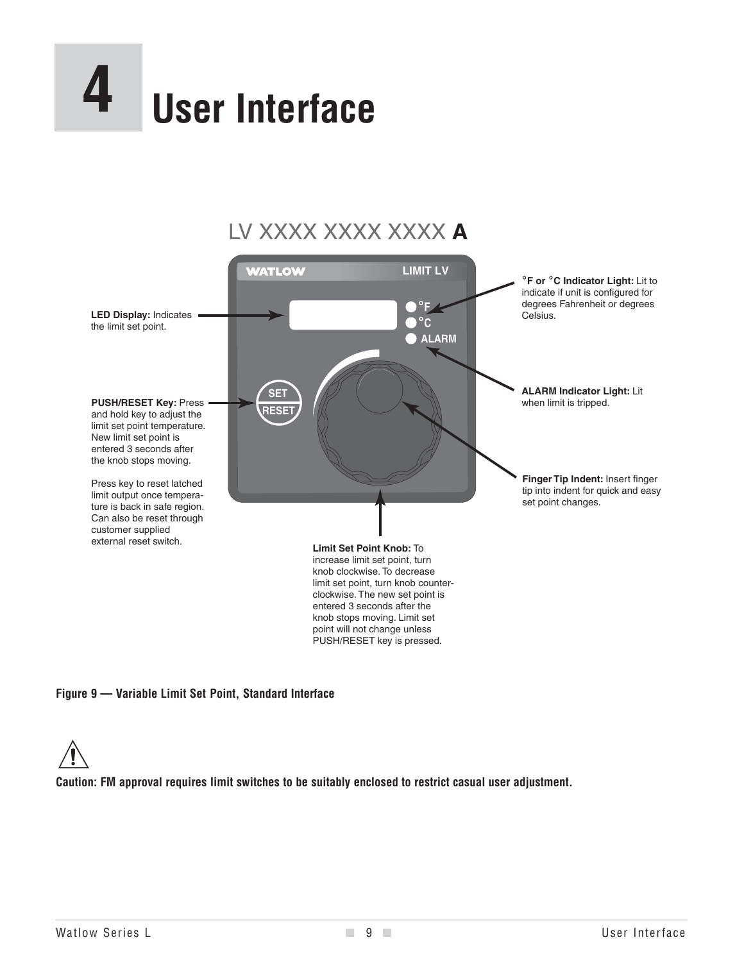



entered 3 seconds after the knob stops moving. Limit set point will not change unless PUSH/RESET key is pressed.

#### **Figure 9 — Variable Limit Set Point, Standard Interface**



**Caution: FM approval requires limit switches to be suitably enclosed to restrict casual user adjustment.**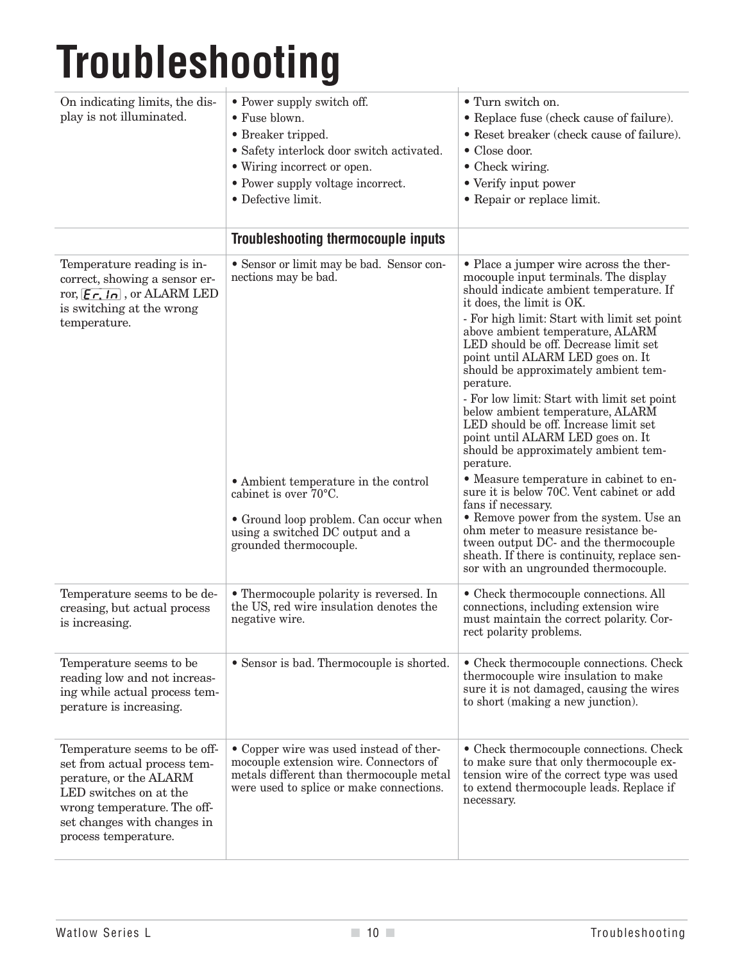# **Troubleshooting**

| On indicating limits, the dis-<br>play is not illuminated.                                                                                                                                             | • Power supply switch off.<br>• Fuse blown.<br>• Breaker tripped.<br>• Safety interlock door switch activated.<br>• Wiring incorrect or open.<br>• Power supply voltage incorrect.<br>· Defective limit.                                  | • Turn switch on.<br>• Replace fuse (check cause of failure).<br>• Reset breaker (check cause of failure).<br>• Close door.<br>• Check wiring.<br>• Verify input power<br>• Repair or replace limit.                                                                                                                                                                                                                                                                                                                                                                                                                                                                                                                                                                                                                                                                                                                                 |
|--------------------------------------------------------------------------------------------------------------------------------------------------------------------------------------------------------|-------------------------------------------------------------------------------------------------------------------------------------------------------------------------------------------------------------------------------------------|--------------------------------------------------------------------------------------------------------------------------------------------------------------------------------------------------------------------------------------------------------------------------------------------------------------------------------------------------------------------------------------------------------------------------------------------------------------------------------------------------------------------------------------------------------------------------------------------------------------------------------------------------------------------------------------------------------------------------------------------------------------------------------------------------------------------------------------------------------------------------------------------------------------------------------------|
|                                                                                                                                                                                                        | <b>Troubleshooting thermocouple inputs</b>                                                                                                                                                                                                |                                                                                                                                                                                                                                                                                                                                                                                                                                                                                                                                                                                                                                                                                                                                                                                                                                                                                                                                      |
| Temperature reading is in-<br>correct, showing a sensor er-<br>ror, $\left[\mathbf{F}\mathbf{r},\mathbf{In}\right]$ , or ALARM LED<br>is switching at the wrong<br>temperature.                        | • Sensor or limit may be bad. Sensor con-<br>nections may be bad.<br>• Ambient temperature in the control<br>cabinet is over 70°C.<br>• Ground loop problem. Can occur when<br>using a switched DC output and a<br>grounded thermocouple. | • Place a jumper wire across the ther-<br>mocouple input terminals. The display<br>should indicate ambient temperature. If<br>it does, the limit is OK.<br>- For high limit: Start with limit set point<br>above ambient temperature, ALARM<br>LED should be off. Decrease limit set<br>point until ALARM LED goes on. It<br>should be approximately ambient tem-<br>perature.<br>- For low limit: Start with limit set point<br>below ambient temperature, ALARM<br>LED should be off. Increase limit set<br>point until ALARM LED goes on. It<br>should be approximately ambient tem-<br>perature.<br>• Measure temperature in cabinet to en-<br>sure it is below 70C. Vent cabinet or add<br>fans if necessary.<br>• Remove power from the system. Use an<br>ohm meter to measure resistance be-<br>tween output DC- and the thermocouple<br>sheath. If there is continuity, replace sen-<br>sor with an ungrounded thermocouple. |
| Temperature seems to be de-<br>creasing, but actual process<br>is increasing.                                                                                                                          | • Thermocouple polarity is reversed. In<br>the US, red wire insulation denotes the<br>negative wire.                                                                                                                                      | • Check thermocouple connections. All<br>connections, including extension wire<br>must maintain the correct polarity. Cor-<br>rect polarity problems.                                                                                                                                                                                                                                                                                                                                                                                                                                                                                                                                                                                                                                                                                                                                                                                |
| Temperature seems to be<br>reading low and not increas-<br>ing while actual process tem-<br>perature is increasing.                                                                                    | • Sensor is bad. Thermocouple is shorted.                                                                                                                                                                                                 | • Check thermocouple connections. Check<br>thermocouple wire insulation to make<br>sure it is not damaged, causing the wires<br>to short (making a new junction).                                                                                                                                                                                                                                                                                                                                                                                                                                                                                                                                                                                                                                                                                                                                                                    |
| Temperature seems to be off-<br>set from actual process tem-<br>perature, or the ALARM<br>LED switches on at the<br>wrong temperature. The off-<br>set changes with changes in<br>process temperature. | • Copper wire was used instead of ther-<br>mocouple extension wire. Connectors of<br>metals different than thermocouple metal<br>were used to splice or make connections.                                                                 | • Check thermocouple connections. Check<br>to make sure that only thermocouple ex-<br>tension wire of the correct type was used<br>to extend thermocouple leads. Replace if<br>necessary.                                                                                                                                                                                                                                                                                                                                                                                                                                                                                                                                                                                                                                                                                                                                            |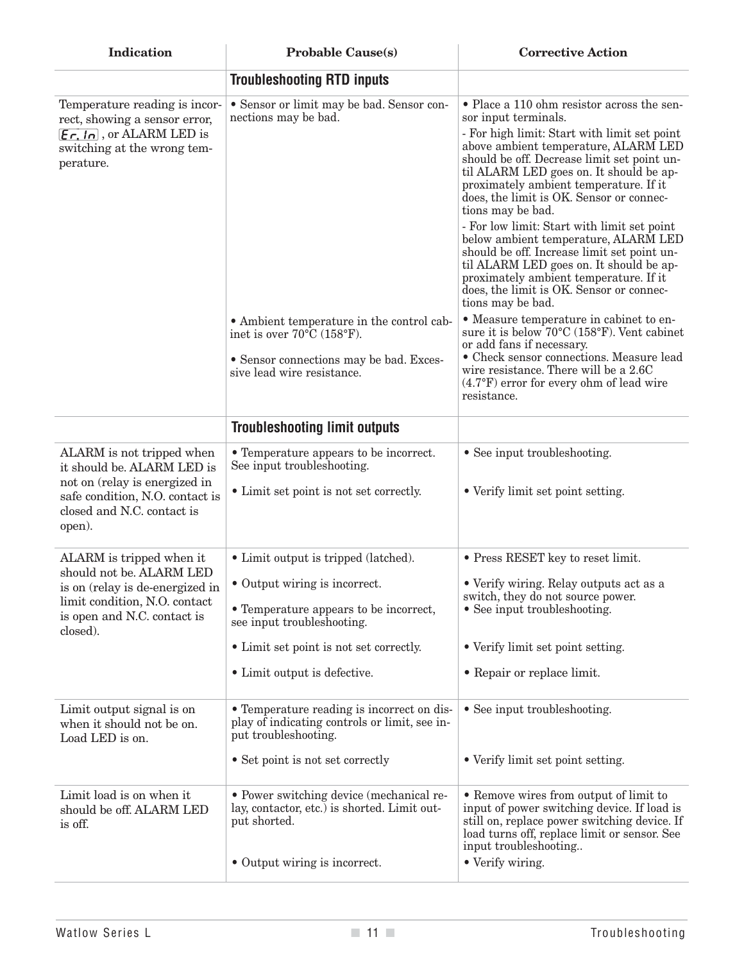| Indication                                                                                                                                                                  | <b>Probable Cause(s)</b>                                                                                                                                                                                                 | <b>Corrective Action</b>                                                                                                                                                                                                                                                                                                                                                                                                                                                                                                                                                                                                                                    |  |  |  |
|-----------------------------------------------------------------------------------------------------------------------------------------------------------------------------|--------------------------------------------------------------------------------------------------------------------------------------------------------------------------------------------------------------------------|-------------------------------------------------------------------------------------------------------------------------------------------------------------------------------------------------------------------------------------------------------------------------------------------------------------------------------------------------------------------------------------------------------------------------------------------------------------------------------------------------------------------------------------------------------------------------------------------------------------------------------------------------------------|--|--|--|
|                                                                                                                                                                             | <b>Troubleshooting RTD inputs</b>                                                                                                                                                                                        |                                                                                                                                                                                                                                                                                                                                                                                                                                                                                                                                                                                                                                                             |  |  |  |
| Temperature reading is incor-<br>rect, showing a sensor error,<br>$\mathcal{E}$ $\mathcal{F}$ , $\mathcal{F}$ , or ALARM LED is<br>switching at the wrong tem-<br>perature. | • Sensor or limit may be bad. Sensor con-<br>nections may be bad.                                                                                                                                                        | • Place a 110 ohm resistor across the sen-<br>sor input terminals.<br>- For high limit: Start with limit set point<br>above ambient temperature, ALARM LED<br>should be off. Decrease limit set point un-<br>til ALARM LED goes on. It should be ap-<br>proximately ambient temperature. If it<br>does, the limit is OK. Sensor or connec-<br>tions may be bad.<br>- For low limit: Start with limit set point<br>below ambient temperature, ALARM LED<br>should be off. Increase limit set point un-<br>til ALARM LED goes on. It should be ap-<br>proximately ambient temperature. If it<br>does, the limit is OK. Sensor or connec-<br>tions may be bad. |  |  |  |
|                                                                                                                                                                             | • Ambient temperature in the control cab-<br>inet is over $70^{\circ}$ C (158 $^{\circ}$ F).<br>• Sensor connections may be bad. Exces-<br>sive lead wire resistance.                                                    | • Measure temperature in cabinet to en-<br>sure it is below $70^{\circ}$ C (158 $^{\circ}$ F). Vent cabinet<br>or add fans if necessary.<br>• Check sensor connections. Measure lead<br>wire resistance. There will be a 2.6C<br>$(4.7^{\circ}F)$ error for every ohm of lead wire<br>resistance.                                                                                                                                                                                                                                                                                                                                                           |  |  |  |
|                                                                                                                                                                             | <b>Troubleshooting limit outputs</b>                                                                                                                                                                                     |                                                                                                                                                                                                                                                                                                                                                                                                                                                                                                                                                                                                                                                             |  |  |  |
| ALARM is not tripped when<br>it should be. ALARM LED is<br>not on (relay is energized in<br>safe condition, N.O. contact is<br>closed and N.C. contact is<br>open).         | • Temperature appears to be incorrect.<br>See input troubleshooting.<br>• Limit set point is not set correctly.                                                                                                          | • See input troubleshooting.<br>• Verify limit set point setting.                                                                                                                                                                                                                                                                                                                                                                                                                                                                                                                                                                                           |  |  |  |
| ALARM is tripped when it<br>should not be. ALARM LED<br>is on (relay is de-energized in<br>limit condition, N.O. contact<br>is open and N.C. contact is<br>closed).         | • Limit output is tripped (latched).<br>• Output wiring is incorrect.<br>• Temperature appears to be incorrect,<br>see input troubleshooting.<br>• Limit set point is not set correctly.<br>• Limit output is defective. | • Press RESET key to reset limit.<br>• Verify wiring. Relay outputs act as a<br>switch, they do not source power.<br>• See input troubleshooting.<br>• Verify limit set point setting.<br>• Repair or replace limit.                                                                                                                                                                                                                                                                                                                                                                                                                                        |  |  |  |
| Limit output signal is on<br>when it should not be on.<br>Load LED is on.                                                                                                   | • Temperature reading is incorrect on dis-<br>play of indicating controls or limit, see in-<br>put troubleshooting.<br>• Set point is not set correctly                                                                  | • See input troubleshooting.<br>• Verify limit set point setting.                                                                                                                                                                                                                                                                                                                                                                                                                                                                                                                                                                                           |  |  |  |
| Limit load is on when it<br>should be off. ALARM LED<br>is off.                                                                                                             | • Power switching device (mechanical re-<br>lay, contactor, etc.) is shorted. Limit out-<br>put shorted.<br>• Output wiring is incorrect.                                                                                | • Remove wires from output of limit to<br>input of power switching device. If load is<br>still on, replace power switching device. If<br>load turns off, replace limit or sensor. See<br>input troubleshooting<br>• Verify wiring.                                                                                                                                                                                                                                                                                                                                                                                                                          |  |  |  |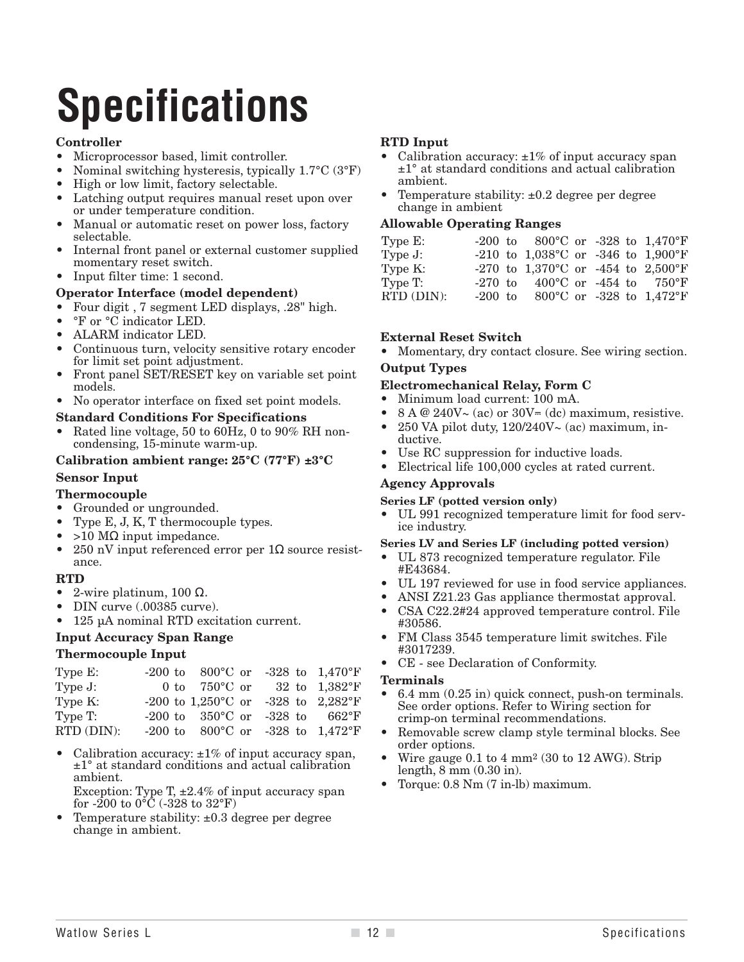## **Specifications**

#### **Controller**

- Microprocessor based, limit controller.
- Nominal switching hysteresis, typically 1.7°C (3°F)
- High or low limit, factory selectable.
- Latching output requires manual reset upon over or under temperature condition.
- Manual or automatic reset on power loss, factory selectable.
- Internal front panel or external customer supplied momentary reset switch.
- Input filter time: 1 second.

#### **Operator Interface (model dependent)**

- Four digit , 7 segment LED displays, .28" high.
- °F or °C indicator LED.
- ALARM indicator LED.
- Continuous turn, velocity sensitive rotary encoder for limit set point adjustment.
- Front panel SET/RESET key on variable set point models.
- No operator interface on fixed set point models.

#### **Standard Conditions For Specifications**

• Rated line voltage, 50 to 60Hz, 0 to 90% RH noncondensing, 15-minute warm-up.

#### **Calibration ambient range: 25°C (77°F) ±3°C**

#### **Sensor Input**

#### **Thermocouple**

- Grounded or ungrounded.
- Type E, J, K, T thermocouple types.
- $>10$  MΩ input impedance.
- 250 nV input referenced error per  $1\Omega$  source resistance.

#### **RTD**

- 2-wire platinum, 100  $Ω$ .
- DIN curve (.00385 curve).
- 125 µA nominal RTD excitation current.

#### **Input Accuracy Span Range**

#### **Thermocouple Input**

| -200 to 800°C or -328 to $1,470$ °F<br>Type $E$ :             |  |
|---------------------------------------------------------------|--|
| 0 to $750^{\circ}$ C or 32 to $1,382^{\circ}$ F<br>Type $J$ : |  |
| -200 to 1,250°C or -328 to 2,282°F<br>Type K:                 |  |
| Type T:<br>-200 to $350^{\circ}$ C or -328 to $662^{\circ}$ F |  |
| RTD (DIN):<br>-200 to 800°C or -328 to $1,472$ °F             |  |

• Calibration accuracy:  $\pm 1\%$  of input accuracy span, ±1° at standard conditions and actual calibration ambient.

Exception: Type T,  $\pm 2.4\%$  of input accuracy span for -200 to  $0^{\circ}$ C (-328 to 32 $^{\circ}$ F)

• Temperature stability: ±0.3 degree per degree change in ambient.

#### **RTD Input**

- Calibration accuracy:  $\pm 1\%$  of input accuracy span ±1° at standard conditions and actual calibration ambient.
- Temperature stability:  $\pm 0.2$  degree per degree change in ambient

#### **Allowable Operating Ranges**

| Type $E$ : | $-200$ to $800^{\circ}$ C or $-328$ to $1,470^{\circ}$ F |  |
|------------|----------------------------------------------------------|--|
| Type $J$ : | -210 to $1,038^{\circ}$ C or -346 to $1,900^{\circ}$ F   |  |
| Type K:    | -270 to 1,370 °C or -454 to 2,500 °F                     |  |
| Type T:    | $-270$ to $-400^{\circ}$ C or $-454$ to $-750^{\circ}$ F |  |
| RTD (DIN): | $-200$ to $800^{\circ}$ C or $-328$ to $1,472^{\circ}$ F |  |

#### **External Reset Switch**

• Momentary, dry contact closure. See wiring section.

#### **Output Types**

#### **Electromechanical Relay, Form C**

- Minimum load current: 100 mA.
- $8 A @ 240V \sim (ac)$  or  $30V = (dc)$  maximum, resistive.
- 250 VA pilot duty,  $120/240V \sim (ac)$  maximum, inductive.
- Use RC suppression for inductive loads.
- Electrical life 100,000 cycles at rated current.

#### **Agency Approvals**

- **Series LF (potted version only)**
- UL 991 recognized temperature limit for food service industry.

#### **Series LV and Series LF (including potted version)**

- UL 873 recognized temperature regulator. File #E43684.
- UL 197 reviewed for use in food service appliances.
- ANSI Z21.23 Gas appliance thermostat approval.
- CSA C22.2#24 approved temperature control. File #30586.
- FM Class 3545 temperature limit switches. File #3017239.
- CE see Declaration of Conformity.

#### **Terminals**

- 6.4 mm (0.25 in) quick connect, push-on terminals. See order options. Refer to Wiring section for crimp-on terminal recommendations.
- Removable screw clamp style terminal blocks. See order options.
- Wire gauge 0.1 to 4 mm2 (30 to 12 AWG). Strip length, 8 mm (0.30 in).
- Torque: 0.8 Nm (7 in-lb) maximum.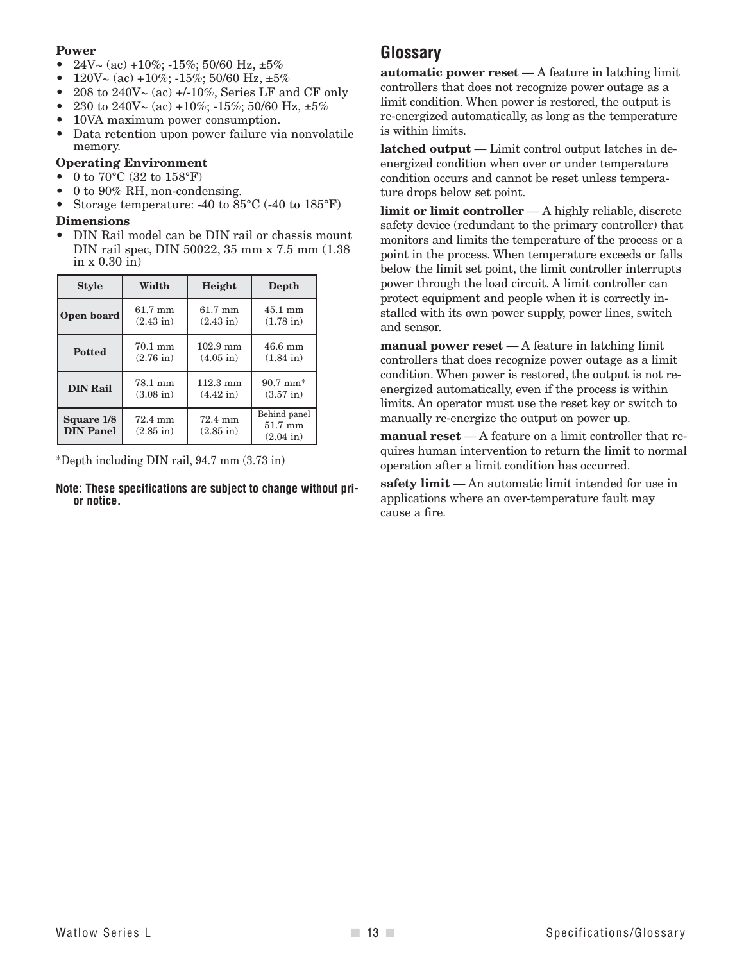#### **Power**

- $24V \sim (ac) +10\%$ ;  $-15\%$ ; 50/60 Hz,  $\pm 5\%$
- 120V $\sim$  (ac) +10%; -15%; 50/60 Hz,  $\pm 5\%$
- 208 to  $240V \sim (ac) +10\%$ , Series LF and CF only
- 230 to 240V $\sim$  (ac) +10%; -15%; 50/60 Hz,  $\pm 5\%$
- 10VA maximum power consumption.
- Data retention upon power failure via nonvolatile memory.

#### **Operating Environment**

- $0$  to  $70^{\circ}\textrm{C}$   $(32$  to  $158^{\circ}\textrm{F})$
- 0 to 90% RH, non-condensing.
- Storage temperature: -40 to  $85^{\circ}$ C (-40 to  $185^{\circ}$ F)

#### **Dimensions**

• DIN Rail model can be DIN rail or chassis mount DIN rail spec, DIN 50022, 35 mm x 7.5 mm (1.38 in x 0.30 in)

| <b>Style</b>                                      | Width                          |                                           | Depth                                          |  |  |  |
|---------------------------------------------------|--------------------------------|-------------------------------------------|------------------------------------------------|--|--|--|
| 61.7 mm<br>Open board<br>$(2.43 \text{ in})$      |                                | $61.7 \text{ mm}$<br>$(2.43 \text{ in})$  | $45.1 \text{ mm}$<br>$(1.78 \text{ in})$       |  |  |  |
| <b>Potted</b>                                     | 70.1 mm<br>$(2.76 \text{ in})$ | $102.9$ mm<br>$(4.05 \text{ in})$         | $46.6 \text{ mm}$<br>$(1.84 \text{ in})$       |  |  |  |
| 78.1 mm<br><b>DIN Rail</b><br>$(3.08 \text{ in})$ |                                | $112.3 \text{ mm}$<br>$(4.42 \text{ in})$ | $90.7 \text{ mm}^*$<br>$(3.57 \text{ in})$     |  |  |  |
| Square 1/8<br><b>DIN Panel</b>                    | 72.4 mm<br>$(2.85 \text{ in})$ | 72.4 mm<br>$(2.85 \text{ in})$            | Behind panel<br>51.7 mm<br>$(2.04 \text{ in})$ |  |  |  |

\*Depth including DIN rail, 94.7 mm (3.73 in)

**Note: These specifications are subject to change without prior notice.**

#### **Glossary**

**automatic power reset** — A feature in latching limit controllers that does not recognize power outage as a limit condition. When power is restored, the output is re-energized automatically, as long as the temperature is within limits.

**latched output** — Limit control output latches in deenergized condition when over or under temperature condition occurs and cannot be reset unless temperature drops below set point.

**limit or limit controller** — A highly reliable, discrete safety device (redundant to the primary controller) that monitors and limits the temperature of the process or a point in the process. When temperature exceeds or falls below the limit set point, the limit controller interrupts power through the load circuit. A limit controller can protect equipment and people when it is correctly installed with its own power supply, power lines, switch and sensor.

**manual power reset** — A feature in latching limit controllers that does recognize power outage as a limit condition. When power is restored, the output is not reenergized automatically, even if the process is within limits. An operator must use the reset key or switch to manually re-energize the output on power up.

**manual reset** — A feature on a limit controller that requires human intervention to return the limit to normal operation after a limit condition has occurred.

**safety limit** — An automatic limit intended for use in applications where an over-temperature fault may cause a fire.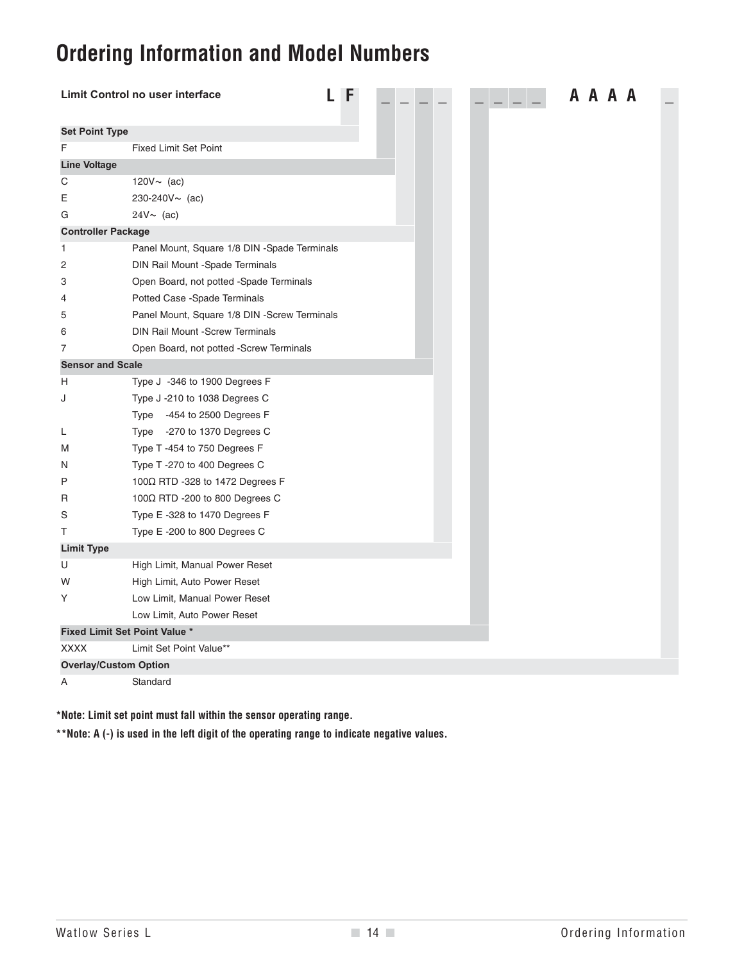## **Ordering Information and Model Numbers**

|                              | Limit Control no user interface              |  | F |  |  |  |  |  |  | A A A A |  |  |
|------------------------------|----------------------------------------------|--|---|--|--|--|--|--|--|---------|--|--|
| <b>Set Point Type</b>        |                                              |  |   |  |  |  |  |  |  |         |  |  |
| F                            | <b>Fixed Limit Set Point</b>                 |  |   |  |  |  |  |  |  |         |  |  |
| <b>Line Voltage</b>          |                                              |  |   |  |  |  |  |  |  |         |  |  |
| С                            | 120 $V \sim$ (ac)                            |  |   |  |  |  |  |  |  |         |  |  |
| Ε                            | $230 - 240V \sim (ac)$                       |  |   |  |  |  |  |  |  |         |  |  |
| G                            | $24V \sim (ac)$                              |  |   |  |  |  |  |  |  |         |  |  |
| <b>Controller Package</b>    |                                              |  |   |  |  |  |  |  |  |         |  |  |
| 1                            | Panel Mount, Square 1/8 DIN -Spade Terminals |  |   |  |  |  |  |  |  |         |  |  |
| 2                            | DIN Rail Mount -Spade Terminals              |  |   |  |  |  |  |  |  |         |  |  |
| 3                            | Open Board, not potted -Spade Terminals      |  |   |  |  |  |  |  |  |         |  |  |
| 4                            | Potted Case -Spade Terminals                 |  |   |  |  |  |  |  |  |         |  |  |
| 5                            | Panel Mount, Square 1/8 DIN -Screw Terminals |  |   |  |  |  |  |  |  |         |  |  |
| 6                            | <b>DIN Rail Mount -Screw Terminals</b>       |  |   |  |  |  |  |  |  |         |  |  |
| 7                            | Open Board, not potted -Screw Terminals      |  |   |  |  |  |  |  |  |         |  |  |
| <b>Sensor and Scale</b>      |                                              |  |   |  |  |  |  |  |  |         |  |  |
| Н                            | Type J -346 to 1900 Degrees F                |  |   |  |  |  |  |  |  |         |  |  |
| J                            | Type J -210 to 1038 Degrees C                |  |   |  |  |  |  |  |  |         |  |  |
|                              | Type -454 to 2500 Degrees F                  |  |   |  |  |  |  |  |  |         |  |  |
| L                            | Type -270 to 1370 Degrees C                  |  |   |  |  |  |  |  |  |         |  |  |
| M                            | Type T-454 to 750 Degrees F                  |  |   |  |  |  |  |  |  |         |  |  |
| N                            | Type T -270 to 400 Degrees C                 |  |   |  |  |  |  |  |  |         |  |  |
| P                            | 100 $\Omega$ RTD -328 to 1472 Degrees F      |  |   |  |  |  |  |  |  |         |  |  |
| R                            | 100 $\Omega$ RTD -200 to 800 Degrees C       |  |   |  |  |  |  |  |  |         |  |  |
| S                            | Type E -328 to 1470 Degrees F                |  |   |  |  |  |  |  |  |         |  |  |
| Т                            | Type E-200 to 800 Degrees C                  |  |   |  |  |  |  |  |  |         |  |  |
| <b>Limit Type</b>            |                                              |  |   |  |  |  |  |  |  |         |  |  |
| U                            | High Limit, Manual Power Reset               |  |   |  |  |  |  |  |  |         |  |  |
| W                            | High Limit, Auto Power Reset                 |  |   |  |  |  |  |  |  |         |  |  |
| Υ                            | Low Limit, Manual Power Reset                |  |   |  |  |  |  |  |  |         |  |  |
|                              | Low Limit, Auto Power Reset                  |  |   |  |  |  |  |  |  |         |  |  |
|                              | <b>Fixed Limit Set Point Value *</b>         |  |   |  |  |  |  |  |  |         |  |  |
| <b>XXXX</b>                  | Limit Set Point Value**                      |  |   |  |  |  |  |  |  |         |  |  |
| <b>Overlay/Custom Option</b> |                                              |  |   |  |  |  |  |  |  |         |  |  |
| Α                            | Standard                                     |  |   |  |  |  |  |  |  |         |  |  |

**\*Note: Limit set point must fall within the sensor operating range.**

**\*\*Note: A (-) is used in the left digit of the operating range to indicate negative values.**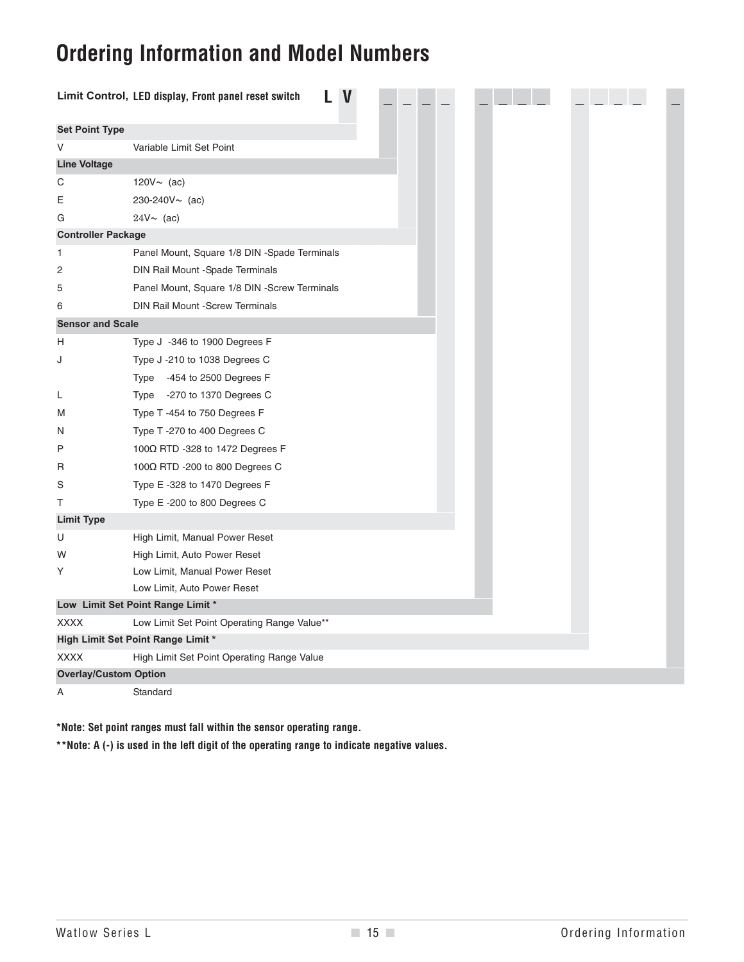## **Ordering Information and Model Numbers**

|                              | Limit Control, LED display, Front panel reset switch |  |
|------------------------------|------------------------------------------------------|--|
| <b>Set Point Type</b>        |                                                      |  |
| V                            | Variable Limit Set Point                             |  |
| <b>Line Voltage</b>          |                                                      |  |
| C                            | 120 $V \sim$ (ac)                                    |  |
| E                            | 230-240V~ (ac)                                       |  |
| G                            | $24V \sim (ac)$                                      |  |
| <b>Controller Package</b>    |                                                      |  |
| 1                            | Panel Mount, Square 1/8 DIN -Spade Terminals         |  |
| 2                            | DIN Rail Mount -Spade Terminals                      |  |
| 5                            | Panel Mount, Square 1/8 DIN -Screw Terminals         |  |
| 6                            | <b>DIN Rail Mount -Screw Terminals</b>               |  |
| <b>Sensor and Scale</b>      |                                                      |  |
| H                            | Type J -346 to 1900 Degrees F                        |  |
| J                            | Type J -210 to 1038 Degrees C                        |  |
|                              | Type -454 to 2500 Degrees F                          |  |
| L                            | Type -270 to 1370 Degrees C                          |  |
| M                            | Type T-454 to 750 Degrees F                          |  |
| N                            | Type T-270 to 400 Degrees C                          |  |
| Ρ                            | 100Ω RTD -328 to 1472 Degrees F                      |  |
| R                            | 100 $\Omega$ RTD -200 to 800 Degrees C               |  |
| S                            | Type E -328 to 1470 Degrees F                        |  |
| т                            | Type E -200 to 800 Degrees C                         |  |
| <b>Limit Type</b>            |                                                      |  |
| U                            | High Limit, Manual Power Reset                       |  |
| W                            | High Limit, Auto Power Reset                         |  |
| Υ                            | Low Limit, Manual Power Reset                        |  |
|                              | Low Limit, Auto Power Reset                          |  |
|                              | Low Limit Set Point Range Limit *                    |  |
| <b>XXXX</b>                  | Low Limit Set Point Operating Range Value**          |  |
|                              | High Limit Set Point Range Limit *                   |  |
| <b>XXXX</b>                  | High Limit Set Point Operating Range Value           |  |
| <b>Overlay/Custom Option</b> |                                                      |  |
| Α                            | Standard                                             |  |

**\*Note: Set point ranges must fall within the sensor operating range.**

**\*\*Note: A (-) is used in the left digit of the operating range to indicate negative values.**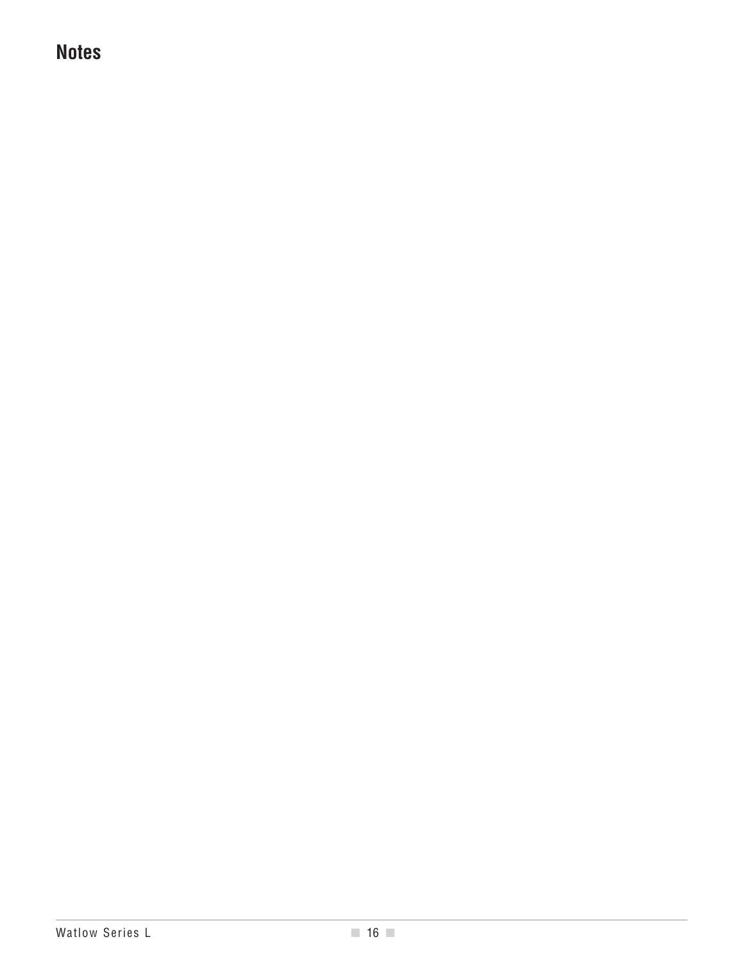## **Notes**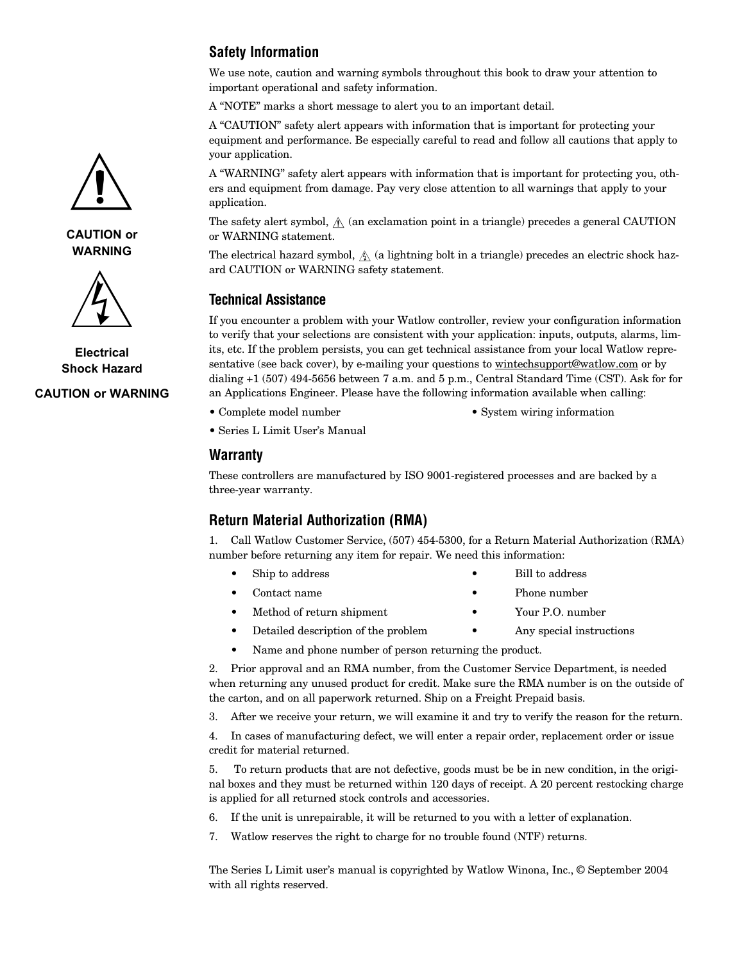#### **Safety Information**

We use note, caution and warning symbols throughout this book to draw your attention to important operational and safety information.

A "NOTE" marks a short message to alert you to an important detail.

A "CAUTION" safety alert appears with information that is important for protecting your equipment and performance. Be especially careful to read and follow all cautions that apply to your application.

A "WARNING" safety alert appears with information that is important for protecting you, others and equipment from damage. Pay very close attention to all warnings that apply to your application.

The safety alert symbol,  $\hat{A}$  (an exclamation point in a triangle) precedes a general CAUTION or WARNING statement.

The electrical hazard symbol,  $\hat{A}$  (a lightning bolt in a triangle) precedes an electric shock hazard CAUTION or WARNING safety statement.

#### **Technical Assistance**

If you encounter a problem with your Watlow controller, review your configuration information to verify that your selections are consistent with your application: inputs, outputs, alarms, limits, etc. If the problem persists, you can get technical assistance from your local Watlow representative (see back cover), by e-mailing your questions to wintechsupport@watlow.com or by dialing +1 (507) 494-5656 between 7 a.m. and 5 p.m., Central Standard Time (CST). Ask for for an Applications Engineer. Please have the following information available when calling:

- 
- Complete model number System wiring information
- Series L Limit User's Manual

#### **Warranty**

These controllers are manufactured by ISO 9001-registered processes and are backed by a three-year warranty.

#### **Return Material Authorization (RMA)**

1. Call Watlow Customer Service, (507) 454-5300, for a Return Material Authorization (RMA) number before returning any item for repair. We need this information:

- Ship to address Bill to address
- Contact name Phone number
	-
- Method of return shipment Your P.O. number
- Detailed description of the problem Any special instructions
- Name and phone number of person returning the product.

2. Prior approval and an RMA number, from the Customer Service Department, is needed when returning any unused product for credit. Make sure the RMA number is on the outside of the carton, and on all paperwork returned. Ship on a Freight Prepaid basis.

3. After we receive your return, we will examine it and try to verify the reason for the return.

4. In cases of manufacturing defect, we will enter a repair order, replacement order or issue credit for material returned.

5. To return products that are not defective, goods must be be in new condition, in the original boxes and they must be returned within 120 days of receipt. A 20 percent restocking charge is applied for all returned stock controls and accessories.

- 6. If the unit is unrepairable, it will be returned to you with a letter of explanation.
- 7. Watlow reserves the right to charge for no trouble found (NTF) returns.

The Series L Limit user's manual is copyrighted by Watlow Winona, Inc., © September 2004 with all rights reserved.







**Electrical Shock Hazard**

#### **CAUTION or WARNING**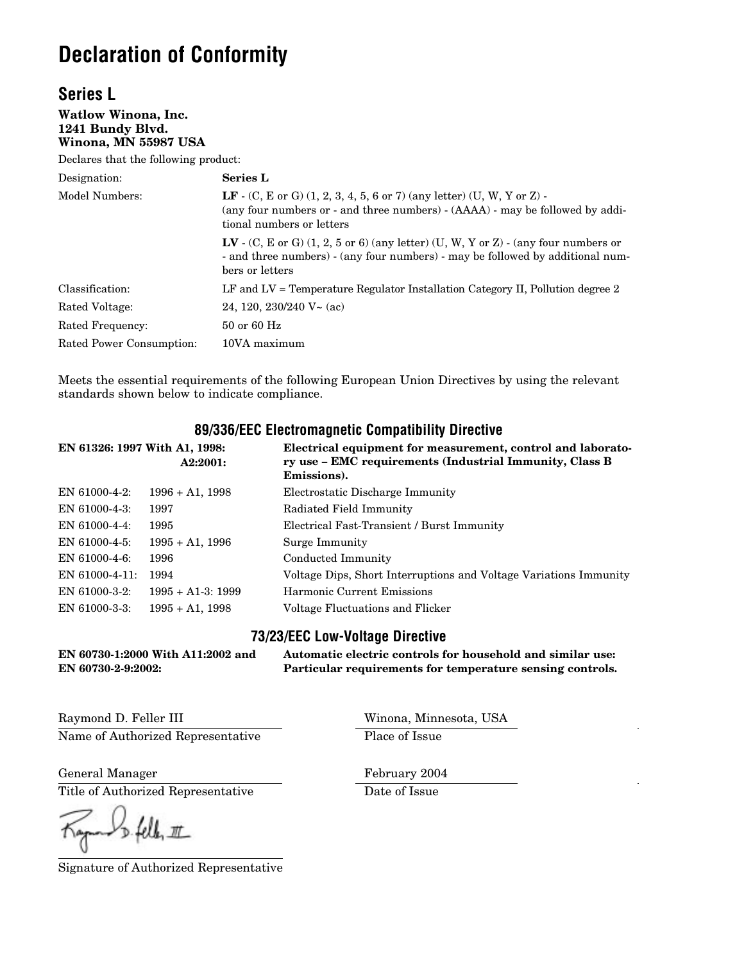## **Declaration of Conformity**

#### **Series L**

**Watlow Winona, Inc. 1241 Bundy Blvd. Winona, MN 55987 USA**

Declares that the following product:

| Designation:             | <b>Series L</b>                                                                                                                                                                                                   |  |  |
|--------------------------|-------------------------------------------------------------------------------------------------------------------------------------------------------------------------------------------------------------------|--|--|
| Model Numbers:           | <b>LF</b> - (C, E or G) $(1, 2, 3, 4, 5, 6 \text{ or } 7)$ (any letter) $(U, W, Y \text{ or } Z)$ -<br>(any four numbers or - and three numbers) - (AAAA) - may be followed by addi-<br>tional numbers or letters |  |  |
|                          | $\mathbf{LV}$ - (C, E or G) (1, 2, 5 or 6) (any letter) (U, W, Y or Z) - (any four numbers or<br>- and three numbers) - (any four numbers) - may be followed by additional num-<br>bers or letters                |  |  |
| Classification:          | LF and LV = Temperature Regulator Installation Category II, Pollution degree 2                                                                                                                                    |  |  |
| Rated Voltage:           | 24, 120, 230/240 $V~$ (ac)                                                                                                                                                                                        |  |  |
| Rated Frequency:         | $50$ or 60 Hz                                                                                                                                                                                                     |  |  |
| Rated Power Consumption: | 10VA maximum                                                                                                                                                                                                      |  |  |

Meets the essential requirements of the following European Union Directives by using the relevant standards shown below to indicate compliance.

#### **89/336/EEC Electromagnetic Compatibility Directive**

| EN 61326: 1997 With A1, 1998: | A2:2001:           | Electrical equipment for measurement, control and laborato-<br>ry use – EMC requirements (Industrial Immunity, Class B<br>Emissions). |
|-------------------------------|--------------------|---------------------------------------------------------------------------------------------------------------------------------------|
| EN $61000-4-2$ :              | $1996 + A1$ , 1998 | Electrostatic Discharge Immunity                                                                                                      |
| EN 61000-4-3:                 | 1997               | Radiated Field Immunity                                                                                                               |
| EN 61000-4-4:                 | 1995               | Electrical Fast-Transient / Burst Immunity                                                                                            |
| $EN$ 61000-4-5:               | $1995 + A1$ , 1996 | Surge Immunity                                                                                                                        |
| EN 61000-4-6:                 | 1996               | Conducted Immunity                                                                                                                    |
| $EN$ 61000-4-11:              | 1994               | Voltage Dips, Short Interruptions and Voltage Variations Immunity                                                                     |
| EN 61000-3-2:                 | $1995 + A1-3:1999$ | Harmonic Current Emissions                                                                                                            |
| EN 61000-3-3:                 | $1995 + A1$ , 1998 | Voltage Fluctuations and Flicker                                                                                                      |

#### **73/23/EEC Low-Voltage Directive**

**EN 60730-1:2000 With A11:2002 and Automatic electric controls for household and similar use: Particular requirements for temperature sensing controls. EN 60730-2-9:2002:**

Raymond D. Feller III North Communications and Minnesota, USA Name of Authorized Representative Place of Issue

General Manager February 2004

Title of Authorized Representative Date of Issue

 $D - 4ell, 111$ 

Signature of Authorized Representative